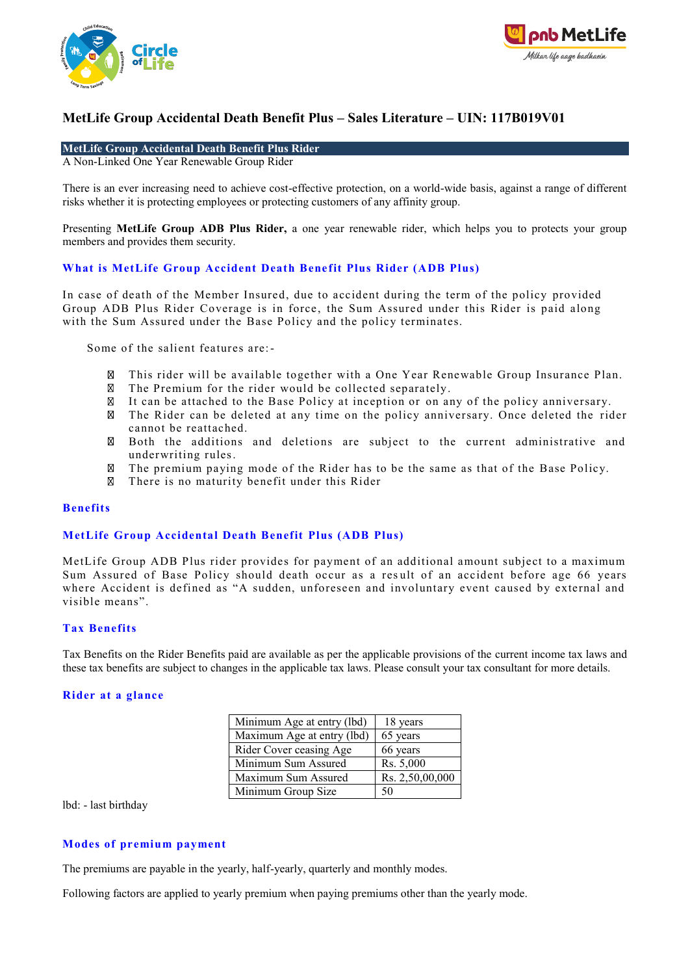



### **MetLife Group Accidental Death Benefit Plus Rider**

A Non-Linked One Year Renewable Group Rider

There is an ever increasing need to achieve cost-effective protection, on a world-wide basis, against a range of different risks whether it is protecting employees or protecting customers of any affinity group.

Presenting **MetLife Group ADB Plus Rider,** a one year renewable rider, which helps you to protects your group members and provides them security.

### **What is MetLife Group Accident Death Bene fit Plus Rider (ADB Plus)**

In case of death of the Member Insured, due to accident during the term of the policy provided Group ADB Plus Rider Coverage is in force , the Sum Assured under this Rider is paid along with the Sum Assured under the Base Policy and the policy terminates.

Some of the salient features are:-

- This rider will be available together with a One Year Renewable Group Insurance Plan.  $\boxtimes$
- The Premium for the rider would be collected separately. ⊠
- It can be attached to the Base Policy at inception or on any of the policy anniversary.
- The Rider can be deleted at any time on the policy anniversary. Once deleted the rider cannot be reattached.
- $\boxtimes$ Both the additions and deletions are subject to the current administrative and underwriting rules.
- The premium paying mode of the Rider has to be the same as that of the Base Policy. ⊠
- There is no maturity benefit under this Rider  $\boxtimes$

#### **Benefits**

#### **MetLife Group Accidental Death Benefit Plus (ADB Plus)**

MetLife Group ADB Plus rider provides for payment of an additional amount subject to a maximum Sum Assured of Base Policy should death occur as a res ult of an accident before age 66 years where Accident is defined as "A sudden, unforeseen and involuntary event caused by external and visible means".

#### **Tax Benefits**

Tax Benefits on the Rider Benefits paid are available as per the applicable provisions of the current income tax laws and these tax benefits are subject to changes in the applicable tax laws. Please consult your tax consultant for more details.

#### **Rider at a glance**

| Minimum Age at entry (lbd) | 18 years        |
|----------------------------|-----------------|
| Maximum Age at entry (lbd) | 65 years        |
| Rider Cover ceasing Age    | 66 years        |
| Minimum Sum Assured        | Rs. 5,000       |
| Maximum Sum Assured        | Rs. 2,50,00,000 |
| Minimum Group Size         | 50              |

lbd: - last birthday

#### **Modes of premium payment**

The premiums are payable in the yearly, half-yearly, quarterly and monthly modes.

Following factors are applied to yearly premium when paying premiums other than the yearly mode.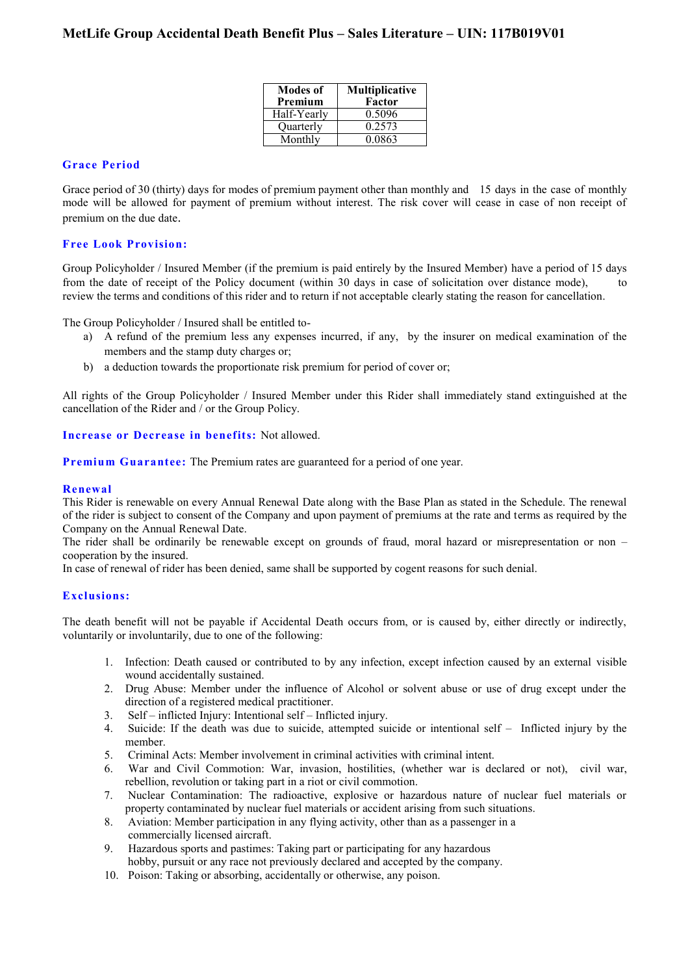| <b>Modes of</b><br>Premium | <b>Multiplicative</b><br>Factor |
|----------------------------|---------------------------------|
| Half-Yearly                | 0.5096                          |
| Quarterly                  | 0.2573                          |
| Monthly                    | 0.0863                          |

## **Grace Period**

Grace period of 30 (thirty) days for modes of premium payment other than monthly and 15 days in the case of monthly mode will be allowed for payment of premium without interest. The risk cover will cease in case of non receipt of premium on the due date.

### **Free Look Provision:**

Group Policyholder / Insured Member (if the premium is paid entirely by the Insured Member) have a period of 15 days from the date of receipt of the Policy document (within 30 days in case of solicitation over distance mode), to review the terms and conditions of this rider and to return if not acceptable clearly stating the reason for cancellation.

The Group Policyholder / Insured shall be entitled to-

- a) A refund of the premium less any expenses incurred, if any, by the insurer on medical examination of the members and the stamp duty charges or;
- b) a deduction towards the proportionate risk premium for period of cover or;

All rights of the Group Policyholder / Insured Member under this Rider shall immediately stand extinguished at the cancellation of the Rider and / or the Group Policy.

#### **Increase or Decrease in benefits:** Not allowed.

**Premium Guarantee:** The Premium rates are guaranteed for a period of one year.

#### **Renewal**

This Rider is renewable on every Annual Renewal Date along with the Base Plan as stated in the Schedule. The renewal of the rider is subject to consent of the Company and upon payment of premiums at the rate and terms as required by the Company on the Annual Renewal Date.

The rider shall be ordinarily be renewable except on grounds of fraud, moral hazard or misrepresentation or non – cooperation by the insured.

In case of renewal of rider has been denied, same shall be supported by cogent reasons for such denial.

#### **Exclusions:**

The death benefit will not be payable if Accidental Death occurs from, or is caused by, either directly or indirectly, voluntarily or involuntarily, due to one of the following:

- 1. Infection: Death caused or contributed to by any infection, except infection caused by an external visible wound accidentally sustained.
- 2. Drug Abuse: Member under the influence of Alcohol or solvent abuse or use of drug except under the direction of a registered medical practitioner.
- 3. Self inflicted Injury: Intentional self Inflicted injury.
- 4. Suicide: If the death was due to suicide, attempted suicide or intentional self Inflicted injury by the member.
- 5. Criminal Acts: Member involvement in criminal activities with criminal intent.
- 6. War and Civil Commotion: War, invasion, hostilities, (whether war is declared or not), civil war, rebellion, revolution or taking part in a riot or civil commotion.
- 7. Nuclear Contamination: The radioactive, explosive or hazardous nature of nuclear fuel materials or property contaminated by nuclear fuel materials or accident arising from such situations.
- 8. Aviation: Member participation in any flying activity, other than as a passenger in a commercially licensed aircraft.
- 9. Hazardous sports and pastimes: Taking part or participating for any hazardous hobby, pursuit or any race not previously declared and accepted by the company.
- 10. Poison: Taking or absorbing, accidentally or otherwise, any poison.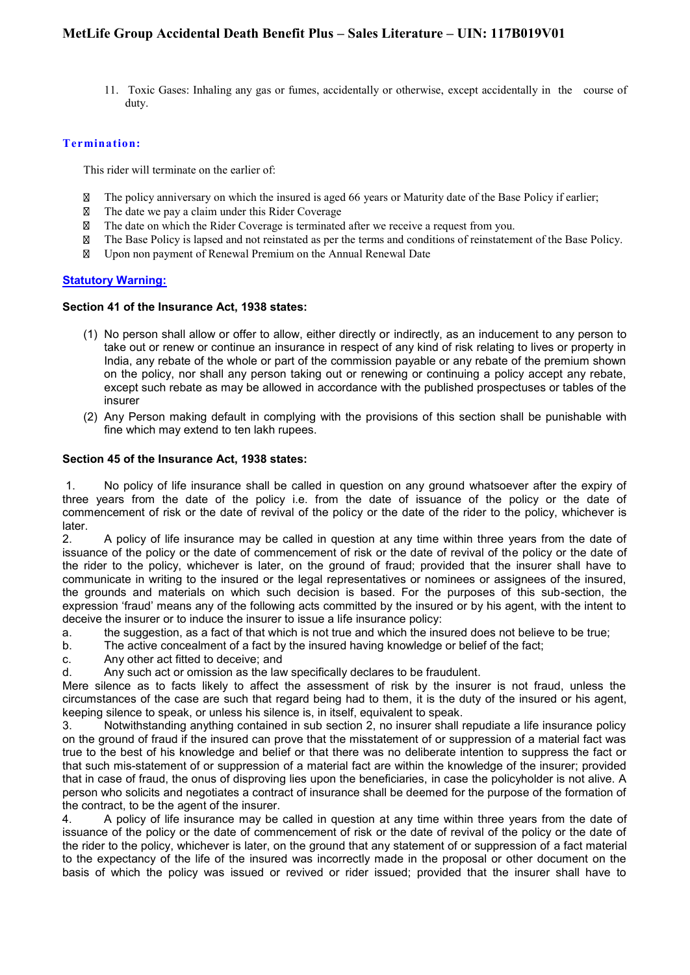11. Toxic Gases: Inhaling any gas or fumes, accidentally or otherwise, except accidentally in the course of duty.

## **Termination:**

This rider will terminate on the earlier of:

- $\boxtimes$ The policy anniversary on which the insured is aged 66 years or Maturity date of the Base Policy if earlier;
- $\boxtimes$ The date we pay a claim under this Rider Coverage
- The date on which the Rider Coverage is terminated after we receive a request from you. M
- $\boxtimes$ The Base Policy is lapsed and not reinstated as per the terms and conditions of reinstatement of the Base Policy.
- Upon non payment of Renewal Premium on the Annual Renewal Date **M**

## **Statutory Warning:**

#### **Section 41 of the Insurance Act, 1938 states:**

- (1) No person shall allow or offer to allow, either directly or indirectly, as an inducement to any person to take out or renew or continue an insurance in respect of any kind of risk relating to lives or property in India, any rebate of the whole or part of the commission payable or any rebate of the premium shown on the policy, nor shall any person taking out or renewing or continuing a policy accept any rebate, except such rebate as may be allowed in accordance with the published prospectuses or tables of the insurer
- (2) Any Person making default in complying with the provisions of this section shall be punishable with fine which may extend to ten lakh rupees.

#### **Section 45 of the Insurance Act, 1938 states:**

1. No policy of life insurance shall be called in question on any ground whatsoever after the expiry of three years from the date of the policy i.e. from the date of issuance of the policy or the date of commencement of risk or the date of revival of the policy or the date of the rider to the policy, whichever is later.

2. A policy of life insurance may be called in question at any time within three years from the date of issuance of the policy or the date of commencement of risk or the date of revival of the policy or the date of the rider to the policy, whichever is later, on the ground of fraud; provided that the insurer shall have to communicate in writing to the insured or the legal representatives or nominees or assignees of the insured, the grounds and materials on which such decision is based. For the purposes of this sub-section, the expression 'fraud' means any of the following acts committed by the insured or by his agent, with the intent to deceive the insurer or to induce the insurer to issue a life insurance policy:

a. the suggestion, as a fact of that which is not true and which the insured does not believe to be true;

b. The active concealment of a fact by the insured having knowledge or belief of the fact;

- c. Any other act fitted to deceive; and
- d. Any such act or omission as the law specifically declares to be fraudulent.

Mere silence as to facts likely to affect the assessment of risk by the insurer is not fraud, unless the circumstances of the case are such that regard being had to them, it is the duty of the insured or his agent, keeping silence to speak, or unless his silence is, in itself, equivalent to speak.

3. Notwithstanding anything contained in sub section 2, no insurer shall repudiate a life insurance policy on the ground of fraud if the insured can prove that the misstatement of or suppression of a material fact was true to the best of his knowledge and belief or that there was no deliberate intention to suppress the fact or that such mis-statement of or suppression of a material fact are within the knowledge of the insurer; provided that in case of fraud, the onus of disproving lies upon the beneficiaries, in case the policyholder is not alive. A person who solicits and negotiates a contract of insurance shall be deemed for the purpose of the formation of the contract, to be the agent of the insurer.

4. A policy of life insurance may be called in question at any time within three years from the date of issuance of the policy or the date of commencement of risk or the date of revival of the policy or the date of the rider to the policy, whichever is later, on the ground that any statement of or suppression of a fact material to the expectancy of the life of the insured was incorrectly made in the proposal or other document on the basis of which the policy was issued or revived or rider issued; provided that the insurer shall have to